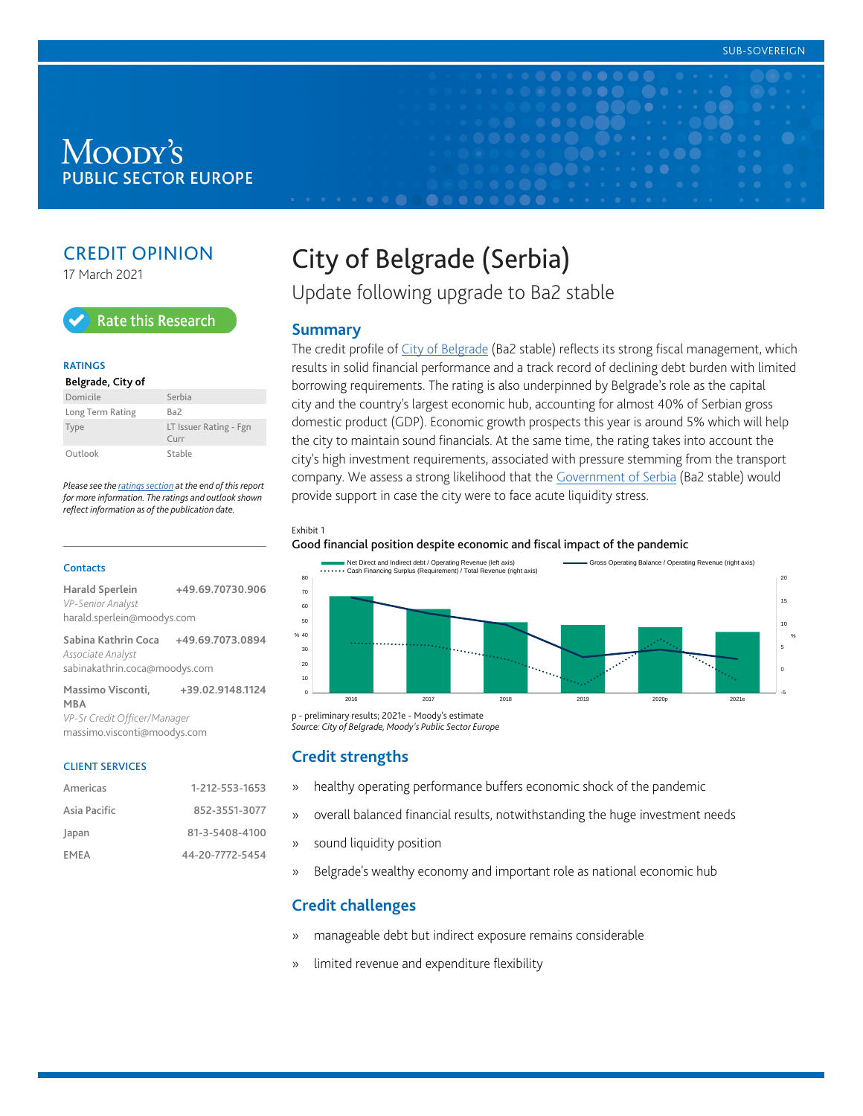# Moody's **PUBLIC SECTOR EUROPE**

# CREDIT OPINION

17 March 2021



#### **RATINGS**

#### **Belgrade, City of** Domicile Serbia

| Long Term Rating | Ba2                               |
|------------------|-----------------------------------|
| Type             | LT Issuer Rating - Fgn<br>$C$ urr |
| Outlook          | Stable                            |

*Please see the [ratings section](#page-5-0) at the end of this report for more information. The ratings and outlook shown reflect information as of the publication date.*

#### **Contacts**

| <b>Harald Sperlein</b><br>VP-Senior Analyst | +49.69.70730.906 |  |  |  |
|---------------------------------------------|------------------|--|--|--|
| harald.sperlein@moodys.com                  |                  |  |  |  |
| Sabina Kathrin Coca<br>Associate Analyst    | +49.69.7073.0894 |  |  |  |
| sabinakathrin.coca@moodys.com               |                  |  |  |  |
| Massimo Visconti,<br><b>MBA</b>             | +39.02.9148.1124 |  |  |  |
| VP-Sr Credit Officer/Manager                |                  |  |  |  |

massimo.visconti@moodys.com

#### CLIENT SERVICES

| Americas     | 1-212-553-1653  |
|--------------|-----------------|
| Asia Pacific | 852-3551-3077   |
| Japan        | 81-3-5408-4100  |
| FMFA         | 44-20-7772-5454 |

# City of Belgrade (Serbia)

Update following upgrade to Ba2 stable

#### **Summary**

The credit profile of [City of Belgrade](https://www.moodys.com/credit-ratings/Belgrade-City-of-credit-rating-825199704) (Ba2 stable) reflects its strong fiscal management, which results in solid financial performance and a track record of declining debt burden with limited borrowing requirements. The rating is also underpinned by Belgrade's role as the capital city and the country's largest economic hub, accounting for almost 40% of Serbian gross domestic product (GDP). Economic growth prospects this year is around 5% which will help the city to maintain sound financials. At the same time, the rating takes into account the city's high investment requirements, associated with pressure stemming from the transport company. We assess a strong likelihood that the [Government of Serbia](https://www.moodys.com/credit-ratings/Serbia-Government-of-credit-rating-806356953) (Ba2 stable) would provide support in case the city were to face acute liquidity stress.

#### Exhibit 1

Good financial position despite economic and fiscal impact of the pandemic



*Source: City of Belgrade, Moody's Public Sector Europe*

#### **Credit strengths**

- » healthy operating performance buffers economic shock of the pandemic
- » overall balanced financial results, notwithstanding the huge investment needs
- » sound liquidity position
- » Belgrade's wealthy economy and important role as national economic hub

## **Credit challenges**

- » manageable debt but indirect exposure remains considerable
- » limited revenue and expenditure flexibility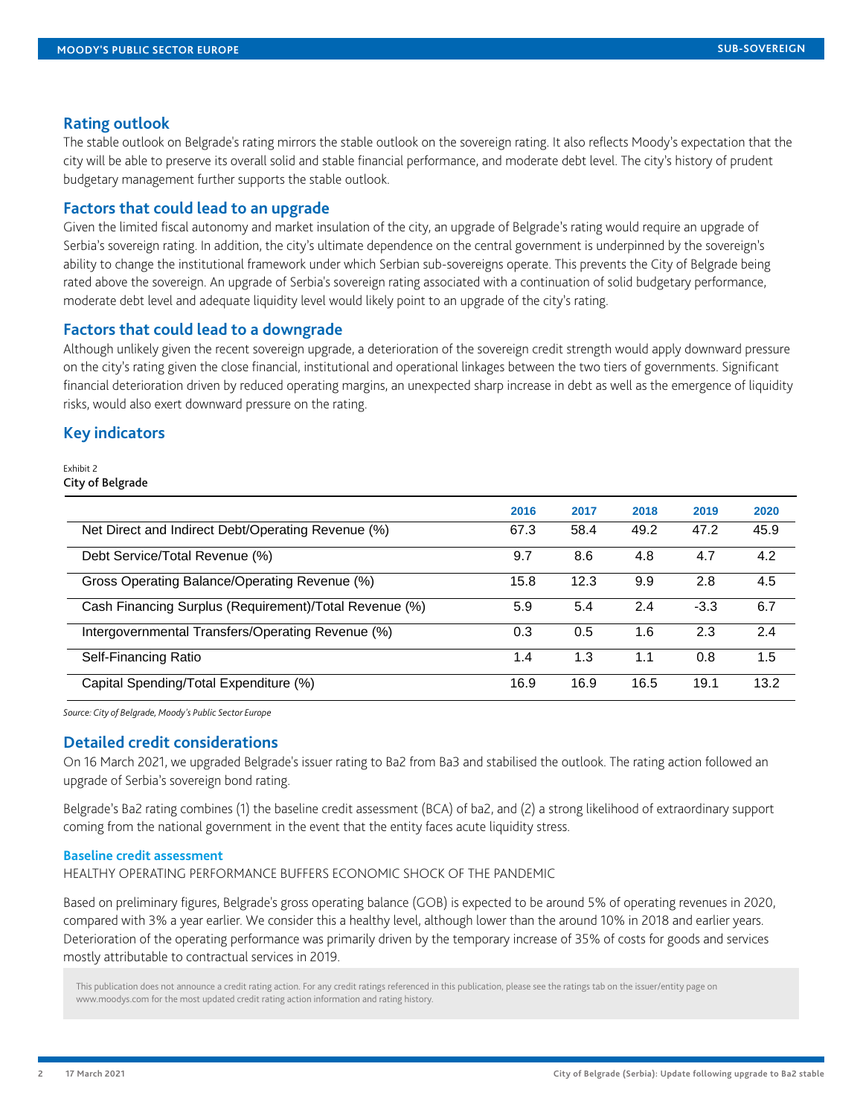#### **Rating outlook**

The stable outlook on Belgrade's rating mirrors the stable outlook on the sovereign rating. It also reflects Moody's expectation that the city will be able to preserve its overall solid and stable financial performance, and moderate debt level. The city's history of prudent budgetary management further supports the stable outlook.

#### **Factors that could lead to an upgrade**

Given the limited fiscal autonomy and market insulation of the city, an upgrade of Belgrade's rating would require an upgrade of Serbia's sovereign rating. In addition, the city's ultimate dependence on the central government is underpinned by the sovereign's ability to change the institutional framework under which Serbian sub-sovereigns operate. This prevents the City of Belgrade being rated above the sovereign. An upgrade of Serbia's sovereign rating associated with a continuation of solid budgetary performance, moderate debt level and adequate liquidity level would likely point to an upgrade of the city's rating.

#### **Factors that could lead to a downgrade**

Although unlikely given the recent sovereign upgrade, a deterioration of the sovereign credit strength would apply downward pressure on the city's rating given the close financial, institutional and operational linkages between the two tiers of governments. Significant financial deterioration driven by reduced operating margins, an unexpected sharp increase in debt as well as the emergence of liquidity risks, would also exert downward pressure on the rating.

#### **Key indicators**

#### Exhibit 2 City of Belgrade

|                                                        | 2016 | 2017 | 2018 | 2019   | 2020 |
|--------------------------------------------------------|------|------|------|--------|------|
| Net Direct and Indirect Debt/Operating Revenue (%)     | 67.3 | 58.4 | 49.2 | 47.2   | 45.9 |
| Debt Service/Total Revenue (%)                         | 9.7  | 8.6  | 4.8  | 4.7    | 4.2  |
| Gross Operating Balance/Operating Revenue (%)          | 15.8 | 12.3 | 9.9  | 2.8    | 4.5  |
| Cash Financing Surplus (Requirement)/Total Revenue (%) | 5.9  | 5.4  | 2.4  | $-3.3$ | 6.7  |
| Intergovernmental Transfers/Operating Revenue (%)      | 0.3  | 0.5  | 1.6  | 2.3    | 2.4  |
| Self-Financing Ratio                                   | 1.4  | 1.3  | 1.1  | 0.8    | 1.5  |
| Capital Spending/Total Expenditure (%)                 | 16.9 | 16.9 | 16.5 | 19.1   | 13.2 |

*Source: City of Belgrade, Moody's Public Sector Europe*

#### **Detailed credit considerations**

On 16 March 2021, we upgraded Belgrade's issuer rating to Ba2 from Ba3 and stabilised the outlook. The rating action followed an upgrade of Serbia's sovereign bond rating.

Belgrade's Ba2 rating combines (1) the baseline credit assessment (BCA) of ba2, and (2) a strong likelihood of extraordinary support coming from the national government in the event that the entity faces acute liquidity stress.

#### **Baseline credit assessment**

HEALTHY OPERATING PERFORMANCE BUFFERS ECONOMIC SHOCK OF THE PANDEMIC

Based on preliminary figures, Belgrade's gross operating balance (GOB) is expected to be around 5% of operating revenues in 2020, compared with 3% a year earlier. We consider this a healthy level, although lower than the around 10% in 2018 and earlier years. Deterioration of the operating performance was primarily driven by the temporary increase of 35% of costs for goods and services mostly attributable to contractual services in 2019.

This publication does not announce a credit rating action. For any credit ratings referenced in this publication, please see the ratings tab on the issuer/entity page on www.moodys.com for the most updated credit rating action information and rating history.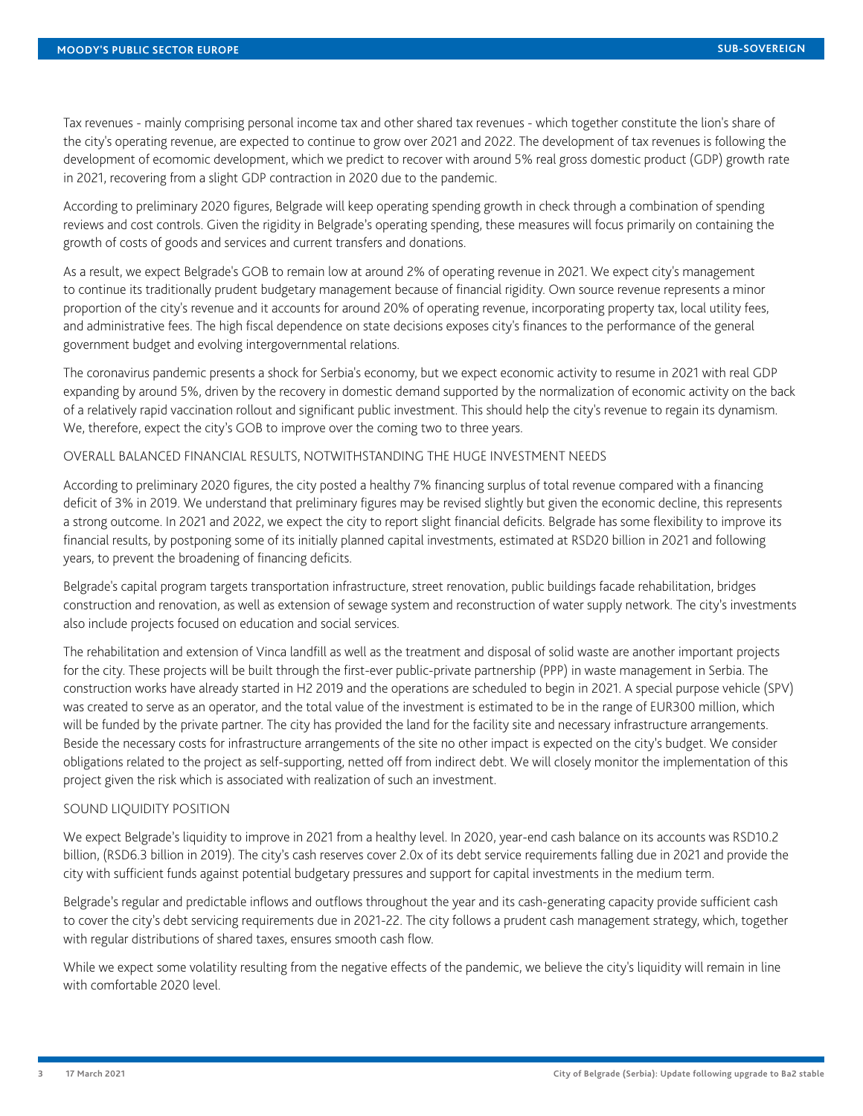Tax revenues - mainly comprising personal income tax and other shared tax revenues - which together constitute the lion's share of the city's operating revenue, are expected to continue to grow over 2021 and 2022. The development of tax revenues is following the development of ecomomic development, which we predict to recover with around 5% real gross domestic product (GDP) growth rate in 2021, recovering from a slight GDP contraction in 2020 due to the pandemic.

According to preliminary 2020 figures, Belgrade will keep operating spending growth in check through a combination of spending reviews and cost controls. Given the rigidity in Belgrade's operating spending, these measures will focus primarily on containing the growth of costs of goods and services and current transfers and donations.

As a result, we expect Belgrade's GOB to remain low at around 2% of operating revenue in 2021. We expect city's management to continue its traditionally prudent budgetary management because of financial rigidity. Own source revenue represents a minor proportion of the city's revenue and it accounts for around 20% of operating revenue, incorporating property tax, local utility fees, and administrative fees. The high fiscal dependence on state decisions exposes city's finances to the performance of the general government budget and evolving intergovernmental relations.

The coronavirus pandemic presents a shock for Serbia's economy, but we expect economic activity to resume in 2021 with real GDP expanding by around 5%, driven by the recovery in domestic demand supported by the normalization of economic activity on the back of a relatively rapid vaccination rollout and significant public investment. This should help the city's revenue to regain its dynamism. We, therefore, expect the city's GOB to improve over the coming two to three years.

#### OVERALL BALANCED FINANCIAL RESULTS, NOTWITHSTANDING THE HUGE INVESTMENT NEEDS

According to preliminary 2020 figures, the city posted a healthy 7% financing surplus of total revenue compared with a financing deficit of 3% in 2019. We understand that preliminary figures may be revised slightly but given the economic decline, this represents a strong outcome. In 2021 and 2022, we expect the city to report slight financial deficits. Belgrade has some flexibility to improve its financial results, by postponing some of its initially planned capital investments, estimated at RSD20 billion in 2021 and following years, to prevent the broadening of financing deficits.

Belgrade's capital program targets transportation infrastructure, street renovation, public buildings facade rehabilitation, bridges construction and renovation, as well as extension of sewage system and reconstruction of water supply network. The city's investments also include projects focused on education and social services.

The rehabilitation and extension of Vinca landfill as well as the treatment and disposal of solid waste are another important projects for the city. These projects will be built through the first-ever public-private partnership (PPP) in waste management in Serbia. The construction works have already started in H2 2019 and the operations are scheduled to begin in 2021. A special purpose vehicle (SPV) was created to serve as an operator, and the total value of the investment is estimated to be in the range of EUR300 million, which will be funded by the private partner. The city has provided the land for the facility site and necessary infrastructure arrangements. Beside the necessary costs for infrastructure arrangements of the site no other impact is expected on the city's budget. We consider obligations related to the project as self-supporting, netted off from indirect debt. We will closely monitor the implementation of this project given the risk which is associated with realization of such an investment.

#### SOUND LIQUIDITY POSITION

We expect Belgrade's liquidity to improve in 2021 from a healthy level. In 2020, year-end cash balance on its accounts was RSD10.2 billion, (RSD6.3 billion in 2019). The city's cash reserves cover 2.0x of its debt service requirements falling due in 2021 and provide the city with sufficient funds against potential budgetary pressures and support for capital investments in the medium term.

Belgrade's regular and predictable inflows and outflows throughout the year and its cash-generating capacity provide sufficient cash to cover the city's debt servicing requirements due in 2021-22. The city follows a prudent cash management strategy, which, together with regular distributions of shared taxes, ensures smooth cash flow.

While we expect some volatility resulting from the negative effects of the pandemic, we believe the city's liquidity will remain in line with comfortable 2020 level.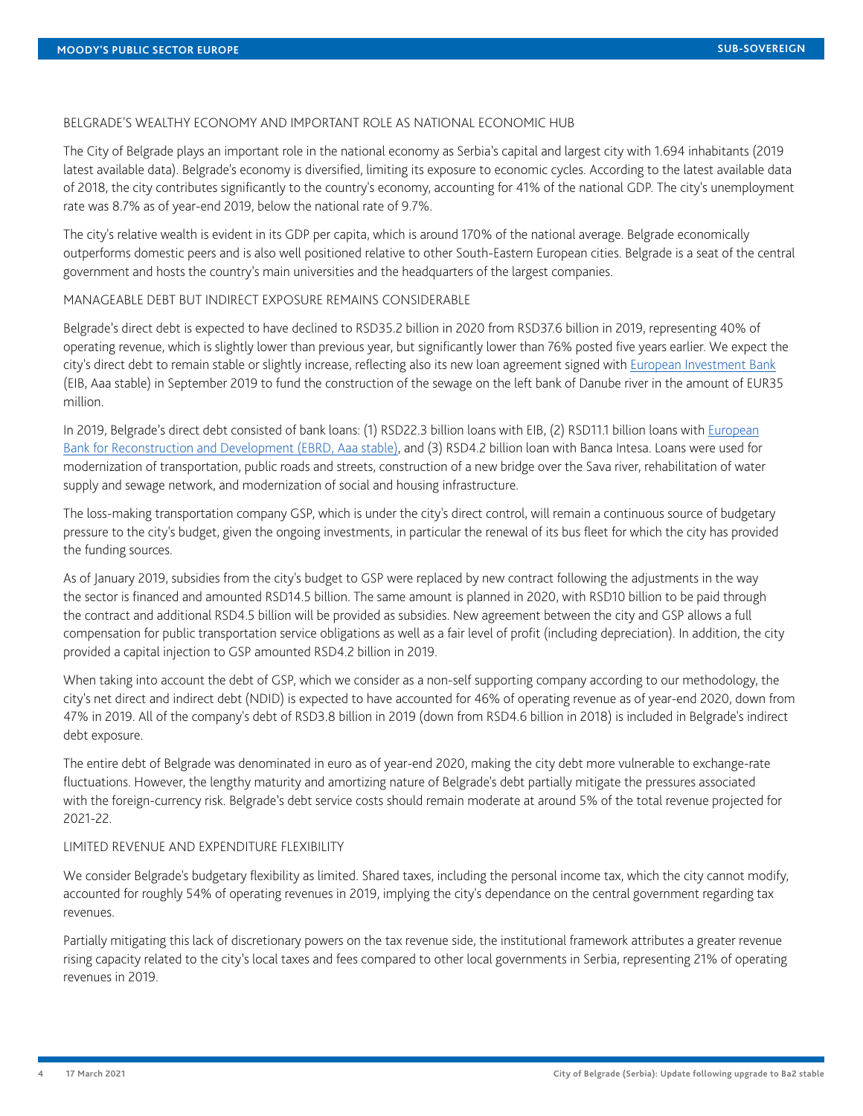#### BELGRADE'S WEALTHY ECONOMY AND IMPORTANT ROLE AS NATIONAL ECONOMIC HUB

The City of Belgrade plays an important role in the national economy as Serbia's capital and largest city with 1.694 inhabitants (2019 latest available data). Belgrade's economy is diversified, limiting its exposure to economic cycles. According to the latest available data of 2018, the city contributes significantly to the country's economy, accounting for 41% of the national GDP. The city's unemployment rate was 8.7% as of year-end 2019, below the national rate of 9.7%.

The city's relative wealth is evident in its GDP per capita, which is around 170% of the national average. Belgrade economically outperforms domestic peers and is also well positioned relative to other South-Eastern European cities. Belgrade is a seat of the central government and hosts the country's main universities and the headquarters of the largest companies.

#### MANAGEABLE DEBT BUT INDIRECT EXPOSURE REMAINS CONSIDERABLE

Belgrade's direct debt is expected to have declined to RSD35.2 billion in 2020 from RSD37.6 billion in 2019, representing 40% of operating revenue, which is slightly lower than previous year, but significantly lower than 76% posted five years earlier. We expect the city's direct debt to remain stable or slightly increase, reflecting also its new loan agreement signed with *European Investment Bank* (EIB, Aaa stable) in September 2019 to fund the construction of the sewage on the left bank of Danube river in the amount of EUR35 million.

In 2019, Belgrade's direct debt consisted of bank loans: (1) RSD22.3 billion loans with EIB, (2) RSD11.1 billion loans with [European](https://www.moodys.com/credit-ratings/European-Bank-for-Reconstruction-Devlpmnt-credit-rating-19620) [Bank for Reconstruction and Development \(EBRD, Aaa stable\)](https://www.moodys.com/credit-ratings/European-Bank-for-Reconstruction-Devlpmnt-credit-rating-19620), and (3) RSD4.2 billion loan with Banca Intesa. Loans were used for modernization of transportation, public roads and streets, construction of a new bridge over the Sava river, rehabilitation of water supply and sewage network, and modernization of social and housing infrastructure.

The loss-making transportation company GSP, which is under the city's direct control, will remain a continuous source of budgetary pressure to the city's budget, given the ongoing investments, in particular the renewal of its bus fleet for which the city has provided the funding sources.

As of January 2019, subsidies from the city's budget to GSP were replaced by new contract following the adjustments in the way the sector is financed and amounted RSD14.5 billion. The same amount is planned in 2020, with RSD10 billion to be paid through the contract and additional RSD4.5 billion will be provided as subsidies. New agreement between the city and GSP allows a full compensation for public transportation service obligations as well as a fair level of profit (including depreciation). In addition, the city provided a capital injection to GSP amounted RSD4.2 billion in 2019.

When taking into account the debt of GSP, which we consider as a non-self supporting company according to our methodology, the city's net direct and indirect debt (NDID) is expected to have accounted for 46% of operating revenue as of year-end 2020, down from 47% in 2019. All of the company's debt of RSD3.8 billion in 2019 (down from RSD4.6 billion in 2018) is included in Belgrade's indirect debt exposure.

The entire debt of Belgrade was denominated in euro as of year-end 2020, making the city debt more vulnerable to exchange-rate fluctuations. However, the lengthy maturity and amortizing nature of Belgrade's debt partially mitigate the pressures associated with the foreign-currency risk. Belgrade's debt service costs should remain moderate at around 5% of the total revenue projected for 2021-22.

#### LIMITED REVENUE AND EXPENDITURE FLEXIBILITY

We consider Belgrade's budgetary flexibility as limited. Shared taxes, including the personal income tax, which the city cannot modify, accounted for roughly 54% of operating revenues in 2019, implying the city's dependance on the central government regarding tax revenues.

Partially mitigating this lack of discretionary powers on the tax revenue side, the institutional framework attributes a greater revenue rising capacity related to the city's local taxes and fees compared to other local governments in Serbia, representing 21% of operating revenues in 2019.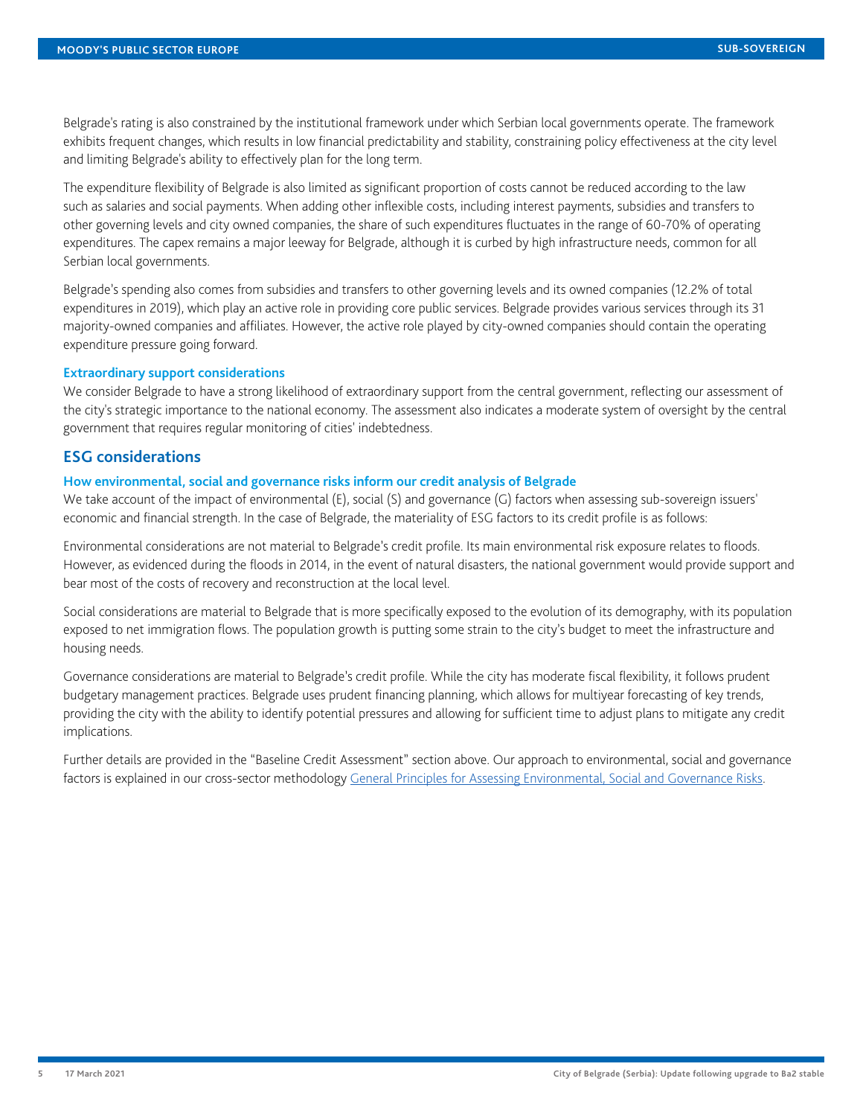Belgrade's rating is also constrained by the institutional framework under which Serbian local governments operate. The framework exhibits frequent changes, which results in low financial predictability and stability, constraining policy effectiveness at the city level and limiting Belgrade's ability to effectively plan for the long term.

The expenditure flexibility of Belgrade is also limited as significant proportion of costs cannot be reduced according to the law such as salaries and social payments. When adding other inflexible costs, including interest payments, subsidies and transfers to other governing levels and city owned companies, the share of such expenditures fluctuates in the range of 60-70% of operating expenditures. The capex remains a major leeway for Belgrade, although it is curbed by high infrastructure needs, common for all Serbian local governments.

Belgrade's spending also comes from subsidies and transfers to other governing levels and its owned companies (12.2% of total expenditures in 2019), which play an active role in providing core public services. Belgrade provides various services through its 31 majority-owned companies and affiliates. However, the active role played by city-owned companies should contain the operating expenditure pressure going forward.

#### **Extraordinary support considerations**

We consider Belgrade to have a strong likelihood of extraordinary support from the central government, reflecting our assessment of the city's strategic importance to the national economy. The assessment also indicates a moderate system of oversight by the central government that requires regular monitoring of cities' indebtedness.

## **ESG considerations**

#### **How environmental, social and governance risks inform our credit analysis of Belgrade**

We take account of the impact of environmental (E), social (S) and governance (G) factors when assessing sub-sovereign issuers' economic and financial strength. In the case of Belgrade, the materiality of ESG factors to its credit profile is as follows:

Environmental considerations are not material to Belgrade's credit profile. Its main environmental risk exposure relates to floods. However, as evidenced during the floods in 2014, in the event of natural disasters, the national government would provide support and bear most of the costs of recovery and reconstruction at the local level.

Social considerations are material to Belgrade that is more specifically exposed to the evolution of its demography, with its population exposed to net immigration flows. The population growth is putting some strain to the city's budget to meet the infrastructure and housing needs.

Governance considerations are material to Belgrade's credit profile. While the city has moderate fiscal flexibility, it follows prudent budgetary management practices. Belgrade uses prudent financing planning, which allows for multiyear forecasting of key trends, providing the city with the ability to identify potential pressures and allowing for sufficient time to adjust plans to mitigate any credit implications.

Further details are provided in the "Baseline Credit Assessment" section above. Our approach to environmental, social and governance factors is explained in our cross-sector methodology [General Principles for Assessing Environmental, Social and Governance Risks](https://www.moodys.com/researchdocumentcontentpage.aspx?docid=PBC_1243406).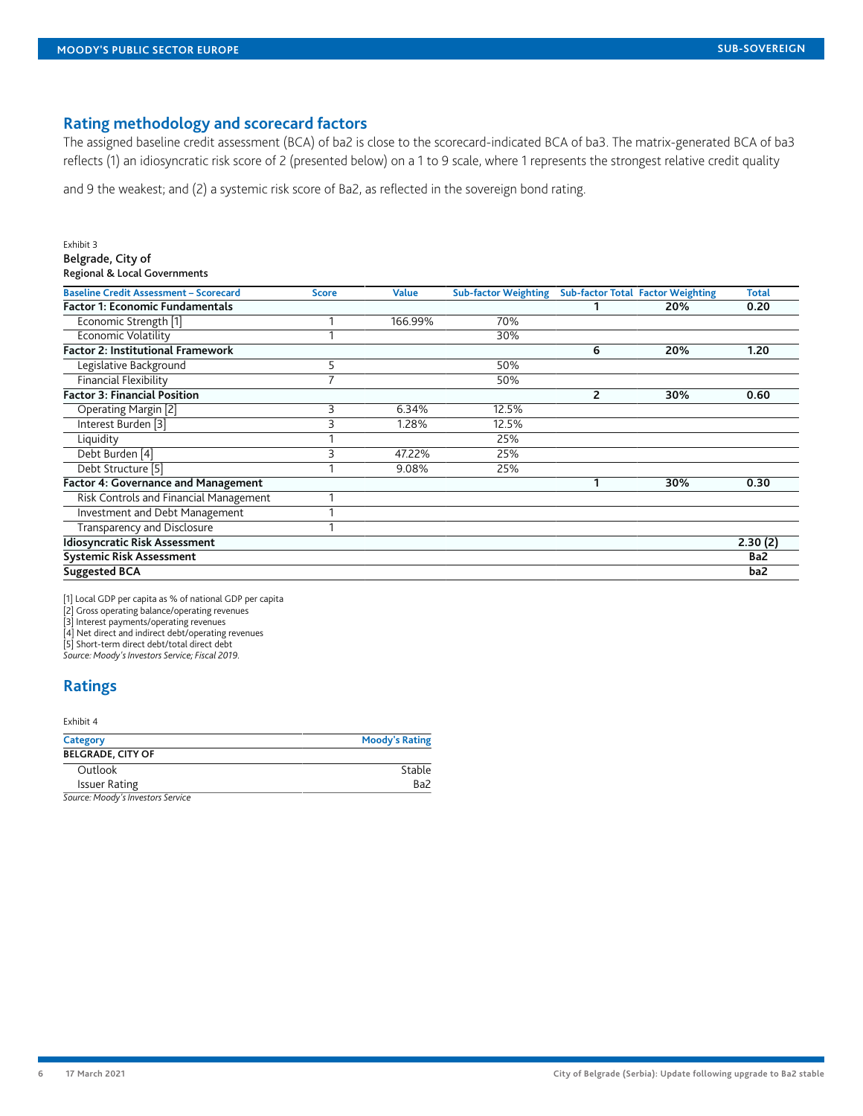### **Rating methodology and scorecard factors**

The assigned baseline credit assessment (BCA) of ba2 is close to the scorecard-indicated BCA of ba3. The matrix-generated BCA of ba3 reflects (1) an idiosyncratic risk score of 2 (presented below) on a 1 to 9 scale, where 1 represents the strongest relative credit quality

and 9 the weakest; and (2) a systemic risk score of Ba2, as reflected in the sovereign bond rating.

| Exhibit 3                                     |                |              |                             |                |                                          |              |
|-----------------------------------------------|----------------|--------------|-----------------------------|----------------|------------------------------------------|--------------|
| Belgrade, City of                             |                |              |                             |                |                                          |              |
| Regional & Local Governments                  |                |              |                             |                |                                          |              |
| <b>Baseline Credit Assessment - Scorecard</b> | <b>Score</b>   | <b>Value</b> | <b>Sub-factor Weighting</b> |                | <b>Sub-factor Total Factor Weighting</b> | <b>Total</b> |
| <b>Factor 1: Economic Fundamentals</b>        |                |              |                             |                | 20%                                      | 0.20         |
| Economic Strength [1]                         |                | 166.99%      | 70%                         |                |                                          |              |
| <b>Economic Volatility</b>                    |                |              | 30%                         |                |                                          |              |
| <b>Factor 2: Institutional Framework</b>      |                |              |                             | 6              | 20%                                      | 1.20         |
| Legislative Background                        | 5              |              | 50%                         |                |                                          |              |
| <b>Financial Flexibility</b>                  | $\overline{7}$ |              | 50%                         |                |                                          |              |
| <b>Factor 3: Financial Position</b>           |                |              |                             | $\overline{2}$ | 30%                                      | 0.60         |
| Operating Margin [2]                          | 3              | 6.34%        | 12.5%                       |                |                                          |              |
| Interest Burden [3]                           | 3              | 1.28%        | 12.5%                       |                |                                          |              |
| Liquidity                                     |                |              | 25%                         |                |                                          |              |
| Debt Burden [4]                               | 3              | 47.22%       | 25%                         |                |                                          |              |
| Debt Structure [5]                            |                | 9.08%        | 25%                         |                |                                          |              |
| <b>Factor 4: Governance and Management</b>    |                |              |                             | 1              | 30%                                      | 0.30         |
| Risk Controls and Financial Management        |                |              |                             |                |                                          |              |
| <b>Investment and Debt Management</b>         |                |              |                             |                |                                          |              |
| Transparency and Disclosure                   |                |              |                             |                |                                          |              |
| <b>Idiosyncratic Risk Assessment</b>          |                |              |                             |                |                                          | 2.30(2)      |
| <b>Systemic Risk Assessment</b>               |                |              |                             |                |                                          | Ba2          |
| <b>Suggested BCA</b>                          |                |              |                             |                |                                          | ba2          |

[1] Local GDP per capita as % of national GDP per capita

[2] Gross operating balance/operating revenues

[3] Interest payments/operating revenues

[4] Net direct and indirect debt/operating revenues

[5] Short-term direct debt/total direct debt

*Source: Moody's Investors Service; Fiscal 2019.*

# <span id="page-5-0"></span>**Ratings**

#### Exhibit 4

| Category                                                                                                                                                                                                                                                                                                                                                                                                                      | <b>Moody's Rating</b> |
|-------------------------------------------------------------------------------------------------------------------------------------------------------------------------------------------------------------------------------------------------------------------------------------------------------------------------------------------------------------------------------------------------------------------------------|-----------------------|
| <b>BELGRADE, CITY OF</b>                                                                                                                                                                                                                                                                                                                                                                                                      |                       |
| Outlook                                                                                                                                                                                                                                                                                                                                                                                                                       | Stable                |
| <b>Issuer Rating</b>                                                                                                                                                                                                                                                                                                                                                                                                          | Ba2                   |
| $\epsilon$ . $\epsilon$ . $\epsilon$ . $\epsilon$ . $\epsilon$ . $\epsilon$ . $\epsilon$ . $\epsilon$ . $\epsilon$ . $\epsilon$ . $\epsilon$ . $\epsilon$ . $\epsilon$ . $\epsilon$ . $\epsilon$ . $\epsilon$ . $\epsilon$ . $\epsilon$ . $\epsilon$ . $\epsilon$ . $\epsilon$ . $\epsilon$ . $\epsilon$ . $\epsilon$ . $\epsilon$ . $\epsilon$ . $\epsilon$ . $\epsilon$ . $\epsilon$ . $\epsilon$ . $\epsilon$ . $\epsilon$ |                       |

*Source: Moody's Investors Service*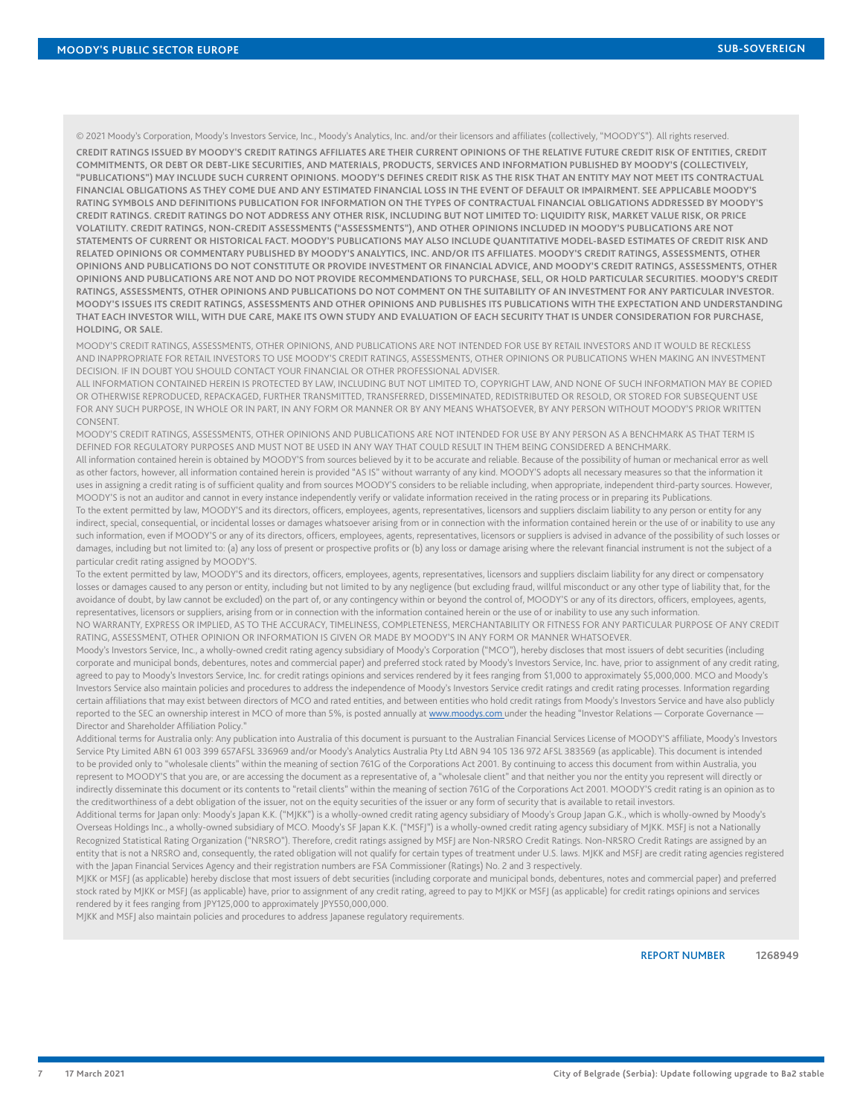© 2021 Moody's Corporation, Moody's Investors Service, Inc., Moody's Analytics, Inc. and/or their licensors and affiliates (collectively, "MOODY'S"). All rights reserved.

**CREDIT RATINGS ISSUED BY MOODY'S CREDIT RATINGS AFFILIATES ARE THEIR CURRENT OPINIONS OF THE RELATIVE FUTURE CREDIT RISK OF ENTITIES, CREDIT COMMITMENTS, OR DEBT OR DEBT-LIKE SECURITIES, AND MATERIALS, PRODUCTS, SERVICES AND INFORMATION PUBLISHED BY MOODY'S (COLLECTIVELY, "PUBLICATIONS") MAY INCLUDE SUCH CURRENT OPINIONS. MOODY'S DEFINES CREDIT RISK AS THE RISK THAT AN ENTITY MAY NOT MEET ITS CONTRACTUAL FINANCIAL OBLIGATIONS AS THEY COME DUE AND ANY ESTIMATED FINANCIAL LOSS IN THE EVENT OF DEFAULT OR IMPAIRMENT. SEE APPLICABLE MOODY'S RATING SYMBOLS AND DEFINITIONS PUBLICATION FOR INFORMATION ON THE TYPES OF CONTRACTUAL FINANCIAL OBLIGATIONS ADDRESSED BY MOODY'S CREDIT RATINGS. CREDIT RATINGS DO NOT ADDRESS ANY OTHER RISK, INCLUDING BUT NOT LIMITED TO: LIQUIDITY RISK, MARKET VALUE RISK, OR PRICE VOLATILITY. CREDIT RATINGS, NON-CREDIT ASSESSMENTS ("ASSESSMENTS"), AND OTHER OPINIONS INCLUDED IN MOODY'S PUBLICATIONS ARE NOT STATEMENTS OF CURRENT OR HISTORICAL FACT. MOODY'S PUBLICATIONS MAY ALSO INCLUDE QUANTITATIVE MODEL-BASED ESTIMATES OF CREDIT RISK AND RELATED OPINIONS OR COMMENTARY PUBLISHED BY MOODY'S ANALYTICS, INC. AND/OR ITS AFFILIATES. MOODY'S CREDIT RATINGS, ASSESSMENTS, OTHER OPINIONS AND PUBLICATIONS DO NOT CONSTITUTE OR PROVIDE INVESTMENT OR FINANCIAL ADVICE, AND MOODY'S CREDIT RATINGS, ASSESSMENTS, OTHER OPINIONS AND PUBLICATIONS ARE NOT AND DO NOT PROVIDE RECOMMENDATIONS TO PURCHASE, SELL, OR HOLD PARTICULAR SECURITIES. MOODY'S CREDIT RATINGS, ASSESSMENTS, OTHER OPINIONS AND PUBLICATIONS DO NOT COMMENT ON THE SUITABILITY OF AN INVESTMENT FOR ANY PARTICULAR INVESTOR. MOODY'S ISSUES ITS CREDIT RATINGS, ASSESSMENTS AND OTHER OPINIONS AND PUBLISHES ITS PUBLICATIONS WITH THE EXPECTATION AND UNDERSTANDING THAT EACH INVESTOR WILL, WITH DUE CARE, MAKE ITS OWN STUDY AND EVALUATION OF EACH SECURITY THAT IS UNDER CONSIDERATION FOR PURCHASE, HOLDING, OR SALE.**

MOODY'S CREDIT RATINGS, ASSESSMENTS, OTHER OPINIONS, AND PUBLICATIONS ARE NOT INTENDED FOR USE BY RETAIL INVESTORS AND IT WOULD BE RECKLESS AND INAPPROPRIATE FOR RETAIL INVESTORS TO USE MOODY'S CREDIT RATINGS, ASSESSMENTS, OTHER OPINIONS OR PUBLICATIONS WHEN MAKING AN INVESTMENT DECISION. IF IN DOUBT YOU SHOULD CONTACT YOUR FINANCIAL OR OTHER PROFESSIONAL ADVISER.

ALL INFORMATION CONTAINED HEREIN IS PROTECTED BY LAW, INCLUDING BUT NOT LIMITED TO, COPYRIGHT LAW, AND NONE OF SUCH INFORMATION MAY BE COPIED OR OTHERWISE REPRODUCED, REPACKAGED, FURTHER TRANSMITTED, TRANSFERRED, DISSEMINATED, REDISTRIBUTED OR RESOLD, OR STORED FOR SUBSEQUENT USE FOR ANY SUCH PURPOSE, IN WHOLE OR IN PART, IN ANY FORM OR MANNER OR BY ANY MEANS WHATSOEVER, BY ANY PERSON WITHOUT MOODY'S PRIOR WRITTEN CONSENT.

MOODY'S CREDIT RATINGS, ASSESSMENTS, OTHER OPINIONS AND PUBLICATIONS ARE NOT INTENDED FOR USE BY ANY PERSON AS A BENCHMARK AS THAT TERM IS DEFINED FOR REGULATORY PURPOSES AND MUST NOT BE USED IN ANY WAY THAT COULD RESULT IN THEM BEING CONSIDERED A BENCHMARK.

All information contained herein is obtained by MOODY'S from sources believed by it to be accurate and reliable. Because of the possibility of human or mechanical error as well as other factors, however, all information contained herein is provided "AS IS" without warranty of any kind. MOODY'S adopts all necessary measures so that the information it uses in assigning a credit rating is of sufficient quality and from sources MOODY'S considers to be reliable including, when appropriate, independent third-party sources. However, MOODY'S is not an auditor and cannot in every instance independently verify or validate information received in the rating process or in preparing its Publications.

To the extent permitted by law, MOODY'S and its directors, officers, employees, agents, representatives, licensors and suppliers disclaim liability to any person or entity for any indirect, special, consequential, or incidental losses or damages whatsoever arising from or in connection with the information contained herein or the use of or inability to use any such information, even if MOODY'S or any of its directors, officers, employees, agents, representatives, licensors or suppliers is advised in advance of the possibility of such losses or damages, including but not limited to: (a) any loss of present or prospective profits or (b) any loss or damage arising where the relevant financial instrument is not the subject of a particular credit rating assigned by MOODY'S.

To the extent permitted by law, MOODY'S and its directors, officers, employees, agents, representatives, licensors and suppliers disclaim liability for any direct or compensatory losses or damages caused to any person or entity, including but not limited to by any negligence (but excluding fraud, willful misconduct or any other type of liability that, for the avoidance of doubt, by law cannot be excluded) on the part of, or any contingency within or beyond the control of, MOODY'S or any of its directors, officers, employees, agents, representatives, licensors or suppliers, arising from or in connection with the information contained herein or the use of or inability to use any such information.

NO WARRANTY, EXPRESS OR IMPLIED, AS TO THE ACCURACY, TIMELINESS, COMPLETENESS, MERCHANTABILITY OR FITNESS FOR ANY PARTICULAR PURPOSE OF ANY CREDIT RATING, ASSESSMENT, OTHER OPINION OR INFORMATION IS GIVEN OR MADE BY MOODY'S IN ANY FORM OR MANNER WHATSOEVER.

Moody's Investors Service, Inc., a wholly-owned credit rating agency subsidiary of Moody's Corporation ("MCO"), hereby discloses that most issuers of debt securities (including corporate and municipal bonds, debentures, notes and commercial paper) and preferred stock rated by Moody's Investors Service, Inc. have, prior to assignment of any credit rating, agreed to pay to Moody's Investors Service, Inc. for credit ratings opinions and services rendered by it fees ranging from \$1,000 to approximately \$5,000,000. MCO and Moody's Investors Service also maintain policies and procedures to address the independence of Moody's Investors Service credit ratings and credit rating processes. Information regarding certain affiliations that may exist between directors of MCO and rated entities, and between entities who hold credit ratings from Moody's Investors Service and have also publicly reported to the SEC an ownership interest in MCO of more than 5%, is posted annually at [www.moodys.com](http://www.moodys.com) under the heading "Investor Relations - Corporate Governance -Director and Shareholder Affiliation Policy."

Additional terms for Australia only: Any publication into Australia of this document is pursuant to the Australian Financial Services License of MOODY'S affiliate, Moody's Investors Service Pty Limited ABN 61 003 399 657AFSL 336969 and/or Moody's Analytics Australia Pty Ltd ABN 94 105 136 972 AFSL 383569 (as applicable). This document is intended to be provided only to "wholesale clients" within the meaning of section 761G of the Corporations Act 2001. By continuing to access this document from within Australia, you represent to MOODY'S that you are, or are accessing the document as a representative of, a "wholesale client" and that neither you nor the entity you represent will directly or indirectly disseminate this document or its contents to "retail clients" within the meaning of section 761G of the Corporations Act 2001. MOODY'S credit rating is an opinion as to the creditworthiness of a debt obligation of the issuer, not on the equity securities of the issuer or any form of security that is available to retail investors.

Additional terms for Japan only: Moody's Japan K.K. ("MJKK") is a wholly-owned credit rating agency subsidiary of Moody's Group Japan G.K., which is wholly-owned by Moody's Overseas Holdings Inc., a wholly-owned subsidiary of MCO. Moody's SF Japan K.K. ("MSFJ") is a wholly-owned credit rating agency subsidiary of MJKK. MSFJ is not a Nationally Recognized Statistical Rating Organization ("NRSRO"). Therefore, credit ratings assigned by MSFJ are Non-NRSRO Credit Ratings. Non-NRSRO Credit Ratings are assigned by an entity that is not a NRSRO and, consequently, the rated obligation will not qualify for certain types of treatment under U.S. laws. MJKK and MSFJ are credit rating agencies registered with the Japan Financial Services Agency and their registration numbers are FSA Commissioner (Ratings) No. 2 and 3 respectively.

MJKK or MSFJ (as applicable) hereby disclose that most issuers of debt securities (including corporate and municipal bonds, debentures, notes and commercial paper) and preferred stock rated by MJKK or MSFJ (as applicable) have, prior to assignment of any credit rating, agreed to pay to MJKK or MSFJ (as applicable) for credit ratings opinions and services rendered by it fees ranging from JPY125,000 to approximately JPY550,000,000.

MJKK and MSFJ also maintain policies and procedures to address Japanese regulatory requirements.

REPORT NUMBER **1268949**